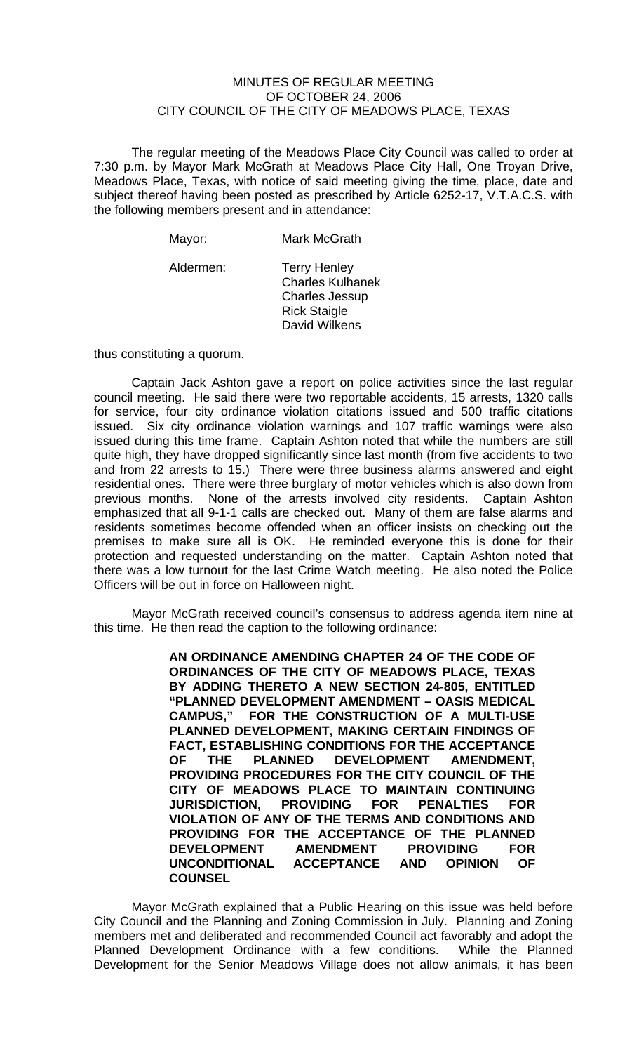## MINUTES OF REGULAR MEETING OF OCTOBER 24, 2006 CITY COUNCIL OF THE CITY OF MEADOWS PLACE, TEXAS

The regular meeting of the Meadows Place City Council was called to order at 7:30 p.m. by Mayor Mark McGrath at Meadows Place City Hall, One Troyan Drive, Meadows Place, Texas, with notice of said meeting giving the time, place, date and subject thereof having been posted as prescribed by Article 6252-17, V.T.A.C.S. with the following members present and in attendance:

| Mayor:    | <b>Mark McGrath</b>                                                                                             |
|-----------|-----------------------------------------------------------------------------------------------------------------|
| Aldermen: | <b>Terry Henley</b><br><b>Charles Kulhanek</b><br><b>Charles Jessup</b><br><b>Rick Staigle</b><br>David Wilkens |

thus constituting a quorum.

Captain Jack Ashton gave a report on police activities since the last regular council meeting. He said there were two reportable accidents, 15 arrests, 1320 calls for service, four city ordinance violation citations issued and 500 traffic citations issued. Six city ordinance violation warnings and 107 traffic warnings were also issued during this time frame. Captain Ashton noted that while the numbers are still quite high, they have dropped significantly since last month (from five accidents to two and from 22 arrests to 15.) There were three business alarms answered and eight residential ones. There were three burglary of motor vehicles which is also down from previous months. None of the arrests involved city residents. Captain Ashton emphasized that all 9-1-1 calls are checked out. Many of them are false alarms and residents sometimes become offended when an officer insists on checking out the premises to make sure all is OK. He reminded everyone this is done for their protection and requested understanding on the matter. Captain Ashton noted that there was a low turnout for the last Crime Watch meeting. He also noted the Police Officers will be out in force on Halloween night.

Mayor McGrath received council's consensus to address agenda item nine at this time. He then read the caption to the following ordinance:

> **AN ORDINANCE AMENDING CHAPTER 24 OF THE CODE OF ORDINANCES OF THE CITY OF MEADOWS PLACE, TEXAS BY ADDING THERETO A NEW SECTION 24-805, ENTITLED "PLANNED DEVELOPMENT AMENDMENT – OASIS MEDICAL CAMPUS," FOR THE CONSTRUCTION OF A MULTI-USE PLANNED DEVELOPMENT, MAKING CERTAIN FINDINGS OF FACT, ESTABLISHING CONDITIONS FOR THE ACCEPTANCE OF THE PLANNED DEVELOPMENT AMENDMENT, PROVIDING PROCEDURES FOR THE CITY COUNCIL OF THE CITY OF MEADOWS PLACE TO MAINTAIN CONTINUING JURISDICTION, PROVIDING FOR PENALTIES FOR VIOLATION OF ANY OF THE TERMS AND CONDITIONS AND PROVIDING FOR THE ACCEPTANCE OF THE PLANNED DEVELOPMENT AMENDMENT PROVIDING FOR UNCONDITIONAL ACCEPTANCE AND OPINION OF COUNSEL**

Mayor McGrath explained that a Public Hearing on this issue was held before City Council and the Planning and Zoning Commission in July. Planning and Zoning members met and deliberated and recommended Council act favorably and adopt the Planned Development Ordinance with a few conditions. While the Planned Development for the Senior Meadows Village does not allow animals, it has been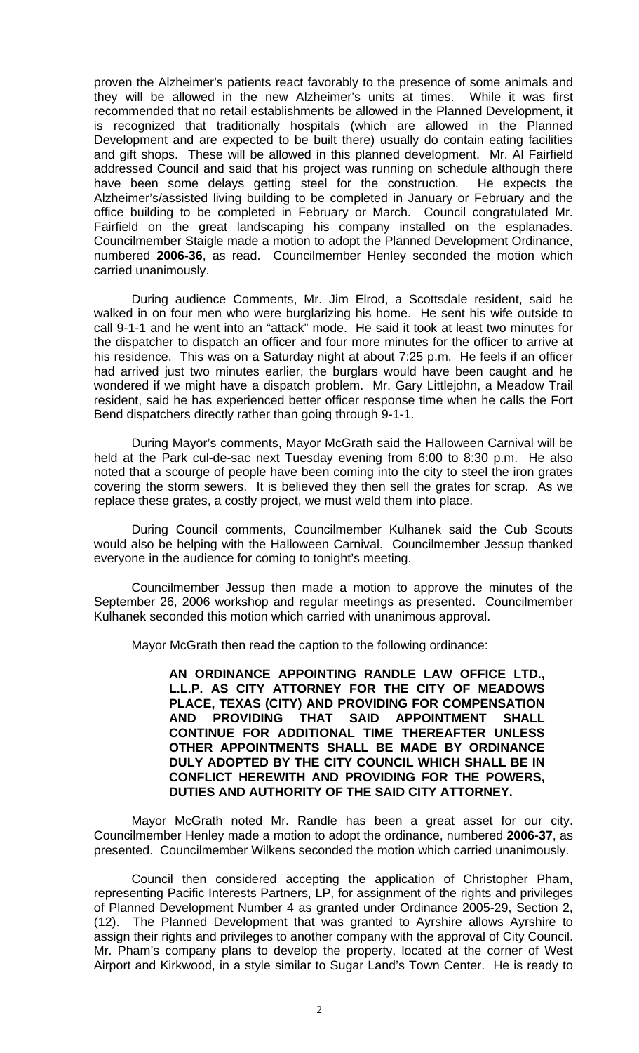proven the Alzheimer's patients react favorably to the presence of some animals and they will be allowed in the new Alzheimer's units at times. While it was first recommended that no retail establishments be allowed in the Planned Development, it is recognized that traditionally hospitals (which are allowed in the Planned Development and are expected to be built there) usually do contain eating facilities and gift shops. These will be allowed in this planned development. Mr. Al Fairfield addressed Council and said that his project was running on schedule although there have been some delays getting steel for the construction. He expects the Alzheimer's/assisted living building to be completed in January or February and the office building to be completed in February or March. Council congratulated Mr. Fairfield on the great landscaping his company installed on the esplanades. Councilmember Staigle made a motion to adopt the Planned Development Ordinance, numbered **2006-36**, as read. Councilmember Henley seconded the motion which carried unanimously.

During audience Comments, Mr. Jim Elrod, a Scottsdale resident, said he walked in on four men who were burglarizing his home. He sent his wife outside to call 9-1-1 and he went into an "attack" mode. He said it took at least two minutes for the dispatcher to dispatch an officer and four more minutes for the officer to arrive at his residence. This was on a Saturday night at about 7:25 p.m. He feels if an officer had arrived just two minutes earlier, the burglars would have been caught and he wondered if we might have a dispatch problem. Mr. Gary Littlejohn, a Meadow Trail resident, said he has experienced better officer response time when he calls the Fort Bend dispatchers directly rather than going through 9-1-1.

During Mayor's comments, Mayor McGrath said the Halloween Carnival will be held at the Park cul-de-sac next Tuesday evening from 6:00 to 8:30 p.m. He also noted that a scourge of people have been coming into the city to steel the iron grates covering the storm sewers. It is believed they then sell the grates for scrap. As we replace these grates, a costly project, we must weld them into place.

During Council comments, Councilmember Kulhanek said the Cub Scouts would also be helping with the Halloween Carnival. Councilmember Jessup thanked everyone in the audience for coming to tonight's meeting.

Councilmember Jessup then made a motion to approve the minutes of the September 26, 2006 workshop and regular meetings as presented. Councilmember Kulhanek seconded this motion which carried with unanimous approval.

Mayor McGrath then read the caption to the following ordinance:

**AN ORDINANCE APPOINTING RANDLE LAW OFFICE LTD., L.L.P. AS CITY ATTORNEY FOR THE CITY OF MEADOWS PLACE, TEXAS (CITY) AND PROVIDING FOR COMPENSATION AND PROVIDING THAT SAID APPOINTMENT SHALL CONTINUE FOR ADDITIONAL TIME THEREAFTER UNLESS OTHER APPOINTMENTS SHALL BE MADE BY ORDINANCE DULY ADOPTED BY THE CITY COUNCIL WHICH SHALL BE IN CONFLICT HEREWITH AND PROVIDING FOR THE POWERS, DUTIES AND AUTHORITY OF THE SAID CITY ATTORNEY.** 

Mayor McGrath noted Mr. Randle has been a great asset for our city. Councilmember Henley made a motion to adopt the ordinance, numbered **2006-37**, as presented. Councilmember Wilkens seconded the motion which carried unanimously.

Council then considered accepting the application of Christopher Pham, representing Pacific Interests Partners, LP, for assignment of the rights and privileges of Planned Development Number 4 as granted under Ordinance 2005-29, Section 2, (12). The Planned Development that was granted to Ayrshire allows Ayrshire to assign their rights and privileges to another company with the approval of City Council. Mr. Pham's company plans to develop the property, located at the corner of West Airport and Kirkwood, in a style similar to Sugar Land's Town Center. He is ready to